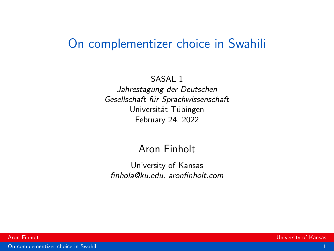### <span id="page-0-0"></span>On complementizer choice in Swahili

#### SASAL 1

Jahrestagung der Deutschen Gesellschaft für Sprachwissenschaft Universität Tübingen February 24, 2022

#### Aron Finholt

University of Kansas finhola@ku.edu, aronfinholt.com

[On complementizer choice in Swahili](#page-27-0) 1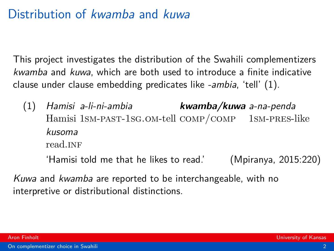# Distribution of kwamba and kuwa

This project investigates the distribution of the Swahili complementizers kwamba and kuwa, which are both used to introduce a finite indicative clause under clause embedding predicates like -ambia, 'tell' (1).

(1) Hamisi a-li-ni-ambia Hamisi 1sm-past-1sg.om-tell comp/comp 1sm-pres-like **kwamba/kuwa** a-na-penda kusoma read INF

'Hamisi told me that he likes to read.' (Mpiranya, 2015:220)

Kuwa and kwamba are reported to be interchangeable, with no interpretive or distributional distinctions.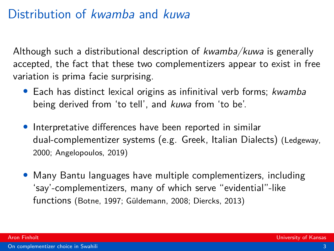# Distribution of kwamba and kuwa

Although such a distributional description of  $kwamba/kuwa$  is generally accepted, the fact that these two complementizers appear to exist in free variation is prima facie surprising.

- Each has distinct lexical origins as infinitival verb forms; kwamba being derived from 'to tell', and kuwa from 'to be'.
- Interpretative differences have been reported in similar dual-complementizer systems (e.g. Greek, Italian Dialects) [\(Ledgeway,](#page-26-0) [2000;](#page-26-0) [Angelopoulos, 2019\)](#page-25-0)
- Many Bantu languages have multiple complementizers, including 'say'-complementizers, many of which serve "evidential"-like functions [\(Botne, 1997;](#page-25-1) Güldemann, 2008; [Diercks, 2013\)](#page-25-2)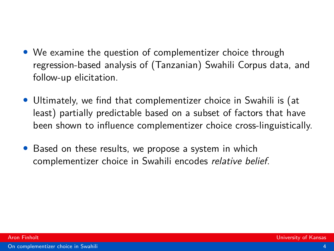- We examine the question of complementizer choice through regression-based analysis of (Tanzanian) Swahili Corpus data, and follow-up elicitation.
- Ultimately, we find that complementizer choice in Swahili is (at least) partially predictable based on a subset of factors that have been shown to influence complementizer choice cross-linguistically.
- Based on these results, we propose a system in which complementizer choice in Swahili encodes relative belief.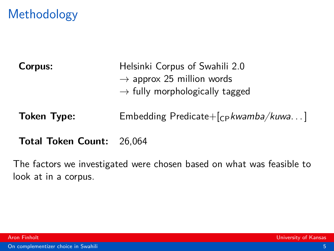# **Methodology**

**Corpus:** Helsinki Corpus of Swahili 2.0  $\rightarrow$  approx 25 million words  $\rightarrow$  fully morphologically tagged

**Token Type:** Embedding Predicate+[cp kwamba/kuwa...]

**Total Token Count:** 26,064

The factors we investigated were chosen based on what was feasible to look at in a corpus.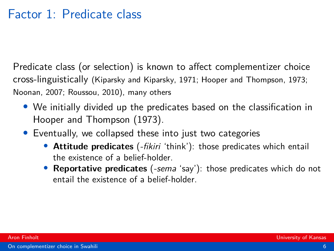## Factor 1: Predicate class

Predicate class (or selection) is known to affect complementizer choice cross-linguistically [\(Kiparsky and Kiparsky, 1971;](#page-26-2) [Hooper and Thompson, 1973;](#page-26-3) [Noonan, 2007;](#page-27-1) [Roussou, 2010\)](#page-27-2), many others

- We initially divided up the predicates based on the classification in [Hooper and Thompson \(1973\)](#page-26-3).
- Eventually, we collapsed these into just two categories
	- **Attitude predicates** (-fikiri 'think'): those predicates which entail the existence of a belief-holder.
	- **Reportative predicates** (-sema 'say'): those predicates which do not entail the existence of a belief-holder.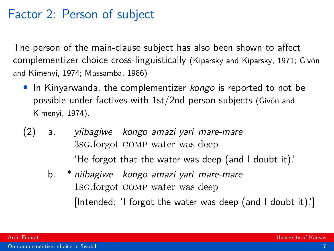### Factor 2: Person of subject

The person of the main-clause subject has also been shown to affect complementizer choice cross-linguistically [\(Kiparsky and Kiparsky, 1971;](#page-26-2) [Giv](#page-25-3)ón [and Kimenyi, 1974;](#page-25-3) [Massamba, 1986\)](#page-27-3)

- In Kinyarwanda, the complementizer kongo is reported to not be possible under factives with  $1st/2$ nd person subjects (Givó[n and](#page-25-3) [Kimenyi, 1974\)](#page-25-3).
- (2) a. yiibagiwe kongo amazi yari mare-mare 3sg.forgot comp water was deep 'He forgot that the water was deep (and I doubt it).'
	- b. \* niibagiwe kongo amazi yari mare-mare 1sg.forgot comp water was deep [Intended: 'I forgot the water was deep (and I doubt it).']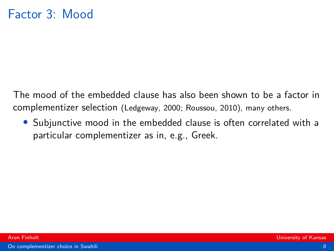The mood of the embedded clause has also been shown to be a factor in complementizer selection [\(Ledgeway, 2000;](#page-26-0) [Roussou, 2010\)](#page-27-2), many others.

• Subjunctive mood in the embedded clause is often correlated with a particular complementizer as in, e.g., Greek.

[On complementizer choice in Swahili](#page-0-0) 8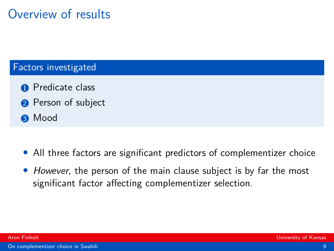# Overview of results

#### Factors investigated

- **1** Predicate class
- **2** Person of subject
- **8** Mood
- All three factors are significant predictors of complementizer choice
- However, the person of the main clause subject is by far the most significant factor affecting complementizer selection.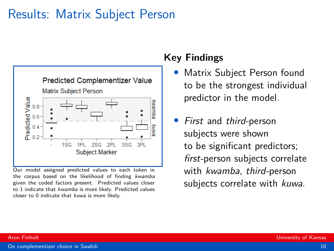### Results: Matrix Subject Person



Our model assigned predicted values to each token in the corpus based on the likelihood of finding kwamba given the coded factors present. Predicted values closer to 1 indicate that kwamba is more likely. Predicted values closer to 0 indicate that kuwa is more likely.

#### **Key Findings**

- Matrix Subject Person found to be the strongest individual predictor in the model.
- First and third-person subjects were shown to be significant predictors; first-person subjects correlate with kwamba, third-person subjects correlate with kuwa.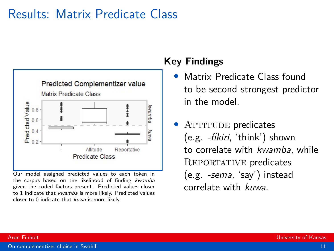### Results: Matrix Predicate Class



Our model assigned predicted values to each token in the corpus based on the likelihood of finding kwamba given the coded factors present. Predicted values closer to 1 indicate that kwamba is more likely. Predicted values closer to 0 indicate that kuwa is more likely.

### **Key Findings**

- Matrix Predicate Class found to be second strongest predictor in the model.
- ATTITUDE predicates (e.g. -fikiri, 'think') shown to correlate with kwamba, while REPORTATIVE predicates (e.g. -sema, 'say') instead correlate with kuwa.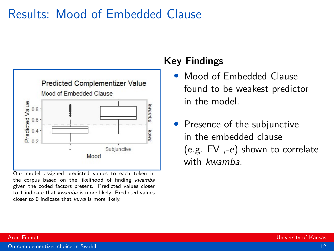## Results: Mood of Embedded Clause



Our model assigned predicted values to each token in the corpus based on the likelihood of finding kwamba given the coded factors present. Predicted values closer to 1 indicate that kwamba is more likely. Predicted values closer to 0 indicate that kuwa is more likely.

#### **Key Findings**

- Mood of Embedded Clause found to be weakest predictor in the model.
- Presence of the subjunctive in the embedded clause (e.g. FV ,-e) shown to correlate with kwamba.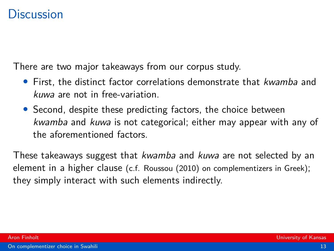There are two major takeaways from our corpus study.

- First, the distinct factor correlations demonstrate that kwamba and kuwa are not in free-variation.
- Second, despite these predicting factors, the choice between kwamba and kuwa is not categorical; either may appear with any of the aforementioned factors.

These takeaways suggest that *kwamba* and *kuwa* are not selected by an element in a higher clause (c.f. [Roussou \(2010\)](#page-27-2) on complementizers in Greek); they simply interact with such elements indirectly.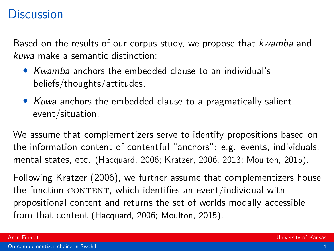Based on the results of our corpus study, we propose that *kwamba* and kuwa make a semantic distinction:

- Kwamba anchors the embedded clause to an individual's beliefs/thoughts/attitudes.
- Kuwa anchors the embedded clause to a pragmatically salient event/situation.

We assume that complementizers serve to identify propositions based on the information content of contentful "anchors": e.g. events, individuals, mental states, etc. [\(Hacquard, 2006;](#page-26-4) [Kratzer, 2006,](#page-26-5) [2013;](#page-26-6) [Moulton, 2015\)](#page-27-4).

Following [Kratzer \(2006\)](#page-26-5), we further assume that complementizers house the function  $CONTENT$ , which identifies an event/individual with propositional content and returns the set of worlds modally accessible from that content [\(Hacquard, 2006;](#page-26-4) [Moulton, 2015\)](#page-27-4).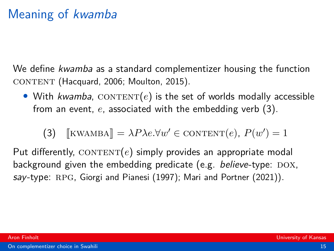# Meaning of kwamba

We define *kwamba* as a standard complementizer housing the function CONTENT [\(Hacquard, 2006;](#page-26-4) [Moulton, 2015\)](#page-27-4).

• With kwamba,  $\text{CONTENT}(e)$  is the set of worlds modally accessible from an event, *e*, associated with the embedding verb [\(3\)](#page-14-0).

(3) [KWAMBA] =  $\lambda P \lambda e. \forall w' \in \text{CONTENT}(e)$ ,  $P(w') = 1$ 

<span id="page-14-0"></span>Put differently,  $CONTENT(e)$  simply provides an appropriate modal background given the embedding predicate (e.g. believe-type:  $DOX$ , say-type: RPG, [Giorgi and Pianesi \(1997\)](#page-25-4); [Mari and Portner \(2021\)](#page-26-7)).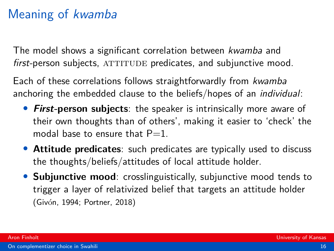# Meaning of kwamba

The model shows a significant correlation between kwamba and  $first$ -person subjects,  $ATTITUDE$  predicates, and subjunctive mood.

Each of these correlations follows straightforwardly from kwamba anchoring the embedded clause to the beliefs/hopes of an individual:

- **First-person subjects**: the speaker is intrinsically more aware of their own thoughts than of others', making it easier to 'check' the modal base to ensure that  $P=1$ .
- **Attitude predicates**: such predicates are typically used to discuss the thoughts/beliefs/attitudes of local attitude holder.
- **Subjunctive mood**: crosslinguistically, subjunctive mood tends to trigger a layer of relativized belief that targets an attitude holder (Givó[n, 1994;](#page-25-5) [Portner, 2018\)](#page-27-5)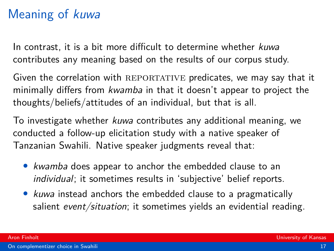# Meaning of kuwa

In contrast, it is a bit more difficult to determine whether kuwa contributes any meaning based on the results of our corpus study.

Given the correlation with REPORTATIVE predicates, we may say that it minimally differs from kwamba in that it doesn't appear to project the thoughts/beliefs/attitudes of an individual, but that is all.

To investigate whether kuwa contributes any additional meaning, we conducted a follow-up elicitation study with a native speaker of Tanzanian Swahili. Native speaker judgments reveal that:

- kwamba does appear to anchor the embedded clause to an individual; it sometimes results in 'subjective' belief reports.
- kuwa instead anchors the embedded clause to a pragmatically salient event/situation; it sometimes yields an evidential reading.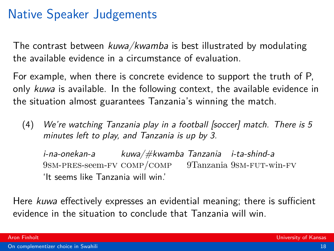# Native Speaker Judgements

The contrast between kuwa/kwamba is best illustrated by modulating the available evidence in a circumstance of evaluation.

For example, when there is concrete evidence to support the truth of P, only kuwa is available. In the following context, the available evidence in the situation almost guarantees Tanzania's winning the match.

(4) We're watching Tanzania play in a football [soccer] match. There is 5 minutes left to play, and Tanzania is up by 3.

i-na-onekan-a kuwa/#kwamba Tanzania i-ta-shind-a 9sm-pres-seem-fv comp/comp 9Tanzania 9sm-fut-win-fv 'It seems like Tanzania will win.'

Here kuwa effectively expresses an evidential meaning; there is sufficient evidence in the situation to conclude that Tanzania will win.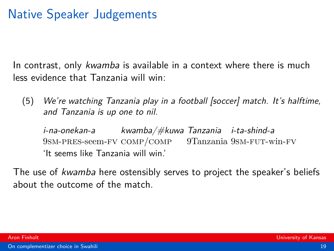# Native Speaker Judgements

In contrast, only kwamba is available in a context where there is much less evidence that Tanzania will win:

(5) We're watching Tanzania play in a football [soccer] match. It's halftime, and Tanzania is up one to nil.

i-na-onekan-a 9sm-pres-seem-fv comp/comp 9Tanzania 9sm-fut-win-fv kwamba/#kuwa Tanzania i-ta-shind-a 'It seems like Tanzania will win.'

The use of kwamba here ostensibly serves to project the speaker's beliefs about the outcome of the match.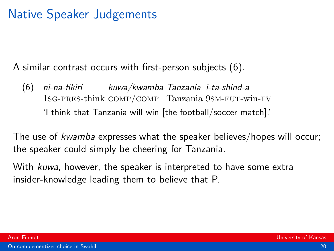# Native Speaker Judgements

A similar contrast occurs with first-person subjects [\(6\)](#page-19-0).

<span id="page-19-0"></span>(6) ni-na-fikiri 1sg-pres-think comp/comp Tanzania 9sm-fut-win-fv kuwa/kwamba Tanzania i-ta-shind-a 'I think that Tanzania will win [the football/soccer match].'

The use of kwamba expresses what the speaker believes/hopes will occur; the speaker could simply be cheering for Tanzania.

With kuwa, however, the speaker is interpreted to have some extra insider-knowledge leading them to believe that P.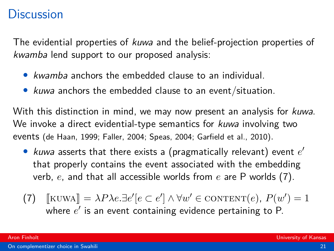The evidential properties of kuwa and the belief-projection properties of kwamba lend support to our proposed analysis:

- *kwamba* anchors the embedded clause to an individual.
- kuwa anchors the embedded clause to an event/situation.

With this distinction in mind, we may now present an analysis for *kuwa*. We invoke a direct evidential-type semantics for kuwa involving two events [\(de Haan, 1999;](#page-25-6) [Faller, 2004;](#page-25-7) [Speas, 2004;](#page-27-6) [Garfield et al., 2010\)](#page-25-8).

- kuwa asserts that there exists a (pragmatically relevant) event *e* ′ that properly contains the event associated with the embedding verb, *e*, and that all accessible worlds from *e* are P worlds [\(7\)](#page-20-0).
- <span id="page-20-0"></span>(7)  $[\text{KUWA}] = \lambda P \lambda e \cdot \exists e' [e \subset e'] \wedge \forall w' \in \text{CONTENT}(e), P(w') = 1$ <br>where  $e'$  is an event containing evidence pertaining to  $P$ where *e* ′ is an event containing evidence pertaining to P.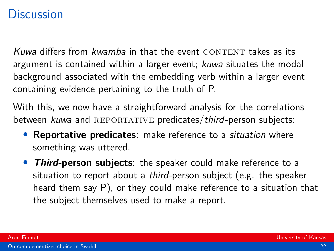Kuwa differs from *kwamba* in that the event CONTENT takes as its argument is contained within a larger event; kuwa situates the modal background associated with the embedding verb within a larger event containing evidence pertaining to the truth of P.

With this, we now have a straightforward analysis for the correlations between  $k$ uwa and REPORTATIVE predicates/third-person subjects:

- **Reportative predicates**: make reference to a situation where something was uttered.
- **Third-person subjects**: the speaker could make reference to a situation to report about a third-person subject (e.g. the speaker heard them say P), or they could make reference to a situation that the subject themselves used to make a report.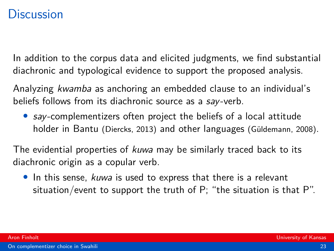In addition to the corpus data and elicited judgments, we find substantial diachronic and typological evidence to support the proposed analysis.

Analyzing kwamba as anchoring an embedded clause to an individual's beliefs follows from its diachronic source as a say-verb.

• say-complementizers often project the beliefs of a local attitude holder in Bantu [\(Diercks, 2013\)](#page-25-2) and other languages (Güldemann, 2008).

The evidential properties of kuwa may be similarly traced back to its diachronic origin as a copular verb.

• In this sense, kuwa is used to express that there is a relevant situation/event to support the truth of P; "the situation is that P".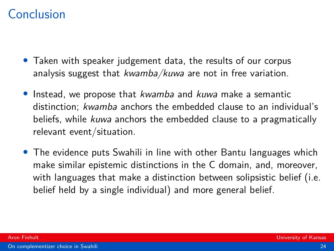# Conclusion

- Taken with speaker judgement data, the results of our corpus analysis suggest that kwamba/kuwa are not in free variation.
- Instead, we propose that *kwamba* and *kuwa* make a semantic distinction; kwamba anchors the embedded clause to an individual's beliefs, while kuwa anchors the embedded clause to a pragmatically relevant event/situation.
- The evidence puts Swahili in line with other Bantu languages which make similar epistemic distinctions in the C domain, and, moreover, with languages that make a distinction between solipsistic belief (i.e. belief held by a single individual) and more general belief.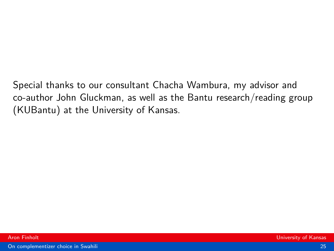Special thanks to our consultant Chacha Wambura, my advisor and co-author John Gluckman, as well as the Bantu research/reading group (KUBantu) at the University of Kansas.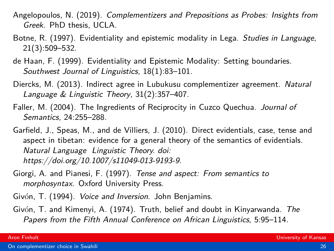- <span id="page-25-0"></span>Angelopoulos, N. (2019). Complementizers and Prepositions as Probes: Insights from Greek. PhD thesis, UCLA.
- <span id="page-25-1"></span>Botne, R. (1997). Evidentiality and epistemic modality in Lega. Studies in Language, 21(3):509–532.
- <span id="page-25-6"></span>de Haan, F. (1999). Evidentiality and Epistemic Modality: Setting boundaries. Southwest Journal of Linguistics, 18(1):83–101.
- <span id="page-25-2"></span>Diercks, M. (2013). Indirect agree in Lubukusu complementizer agreement. Natural Language & Linguistic Theory, 31(2):357–407.
- <span id="page-25-7"></span>Faller, M. (2004). The Ingredients of Reciprocity in Cuzco Quechua. Journal of Semantics, 24:255–288.
- <span id="page-25-8"></span>Garfield, J., Speas, M., and de Villiers, J. (2010). Direct evidentials, case, tense and aspect in tibetan: evidence for a general theory of the semantics of evidentials. Natural Language Linguistic Theory. doi: https://doi.org/10.1007/s11049-013-9193-9.
- <span id="page-25-4"></span>Giorgi, A. and Pianesi, F. (1997). Tense and aspect: From semantics to morphosyntax. Oxford University Press.
- <span id="page-25-5"></span>Givón, T. (1994). Voice and Inversion. John Benjamins.
- <span id="page-25-3"></span>Givón, T. and Kimenyi, A. (1974). Truth, belief and doubt in Kinyarwanda. The Papers from the Fifth Annual Conference on African Linguistics, 5:95–114.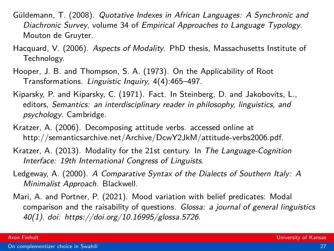- <span id="page-26-1"></span>Güldemann, T. (2008). Quotative Indexes in African Languages: A Synchronic and Diachronic Survey, volume 34 of Empirical Approaches to Language Typology. Mouton de Gruyter.
- <span id="page-26-4"></span>Hacquard, V. (2006). Aspects of Modality. PhD thesis, Massachusetts Institute of Technology.
- <span id="page-26-3"></span>Hooper, J. B. and Thompson, S. A. (1973). On the Applicability of Root Transformations. Linguistic Inquiry, 4(4):465–497.
- <span id="page-26-2"></span>Kiparsky, P. and Kiparsky, C. (1971). Fact. In Steinberg, D. and Jakobovits, L., editors, Semantics: an interdisciplinary reader in philosophy, linguistics, and psychology. Cambridge.
- <span id="page-26-5"></span>Kratzer, A. (2006). Decomposing attitude verbs. accessed online at http://semanticsarchive.net/Archive/DcwY2JkM/attitude-verbs2006.pdf.
- <span id="page-26-6"></span>Kratzer, A. (2013). Modality for the 21st century. In The Language-Cognition Interface: 19th International Congress of Linguists.
- <span id="page-26-0"></span>Ledgeway, A. (2000). A Comparative Syntax of the Dialects of Southern Italy: A Minimalist Approach. Blackwell.
- <span id="page-26-7"></span>Mari, A. and Portner, P. (2021). Mood variation with belief predicates: Modal comparison and the raisability of questions. Glossa: a journal of general linguistics 40(1). doi: https://doi.org/10.16995/glossa.5726.